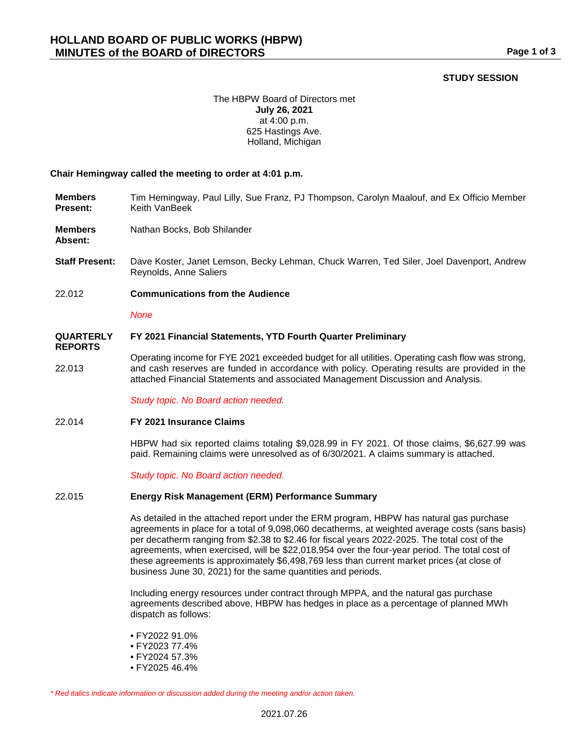# **STUDY SESSION**

## The HBPW Board of Directors met **July 26, 2021** at 4:00 p.m. 625 Hastings Ave. Holland, Michigan

## **Chair Hemingway called the meeting to order at 4:01 p.m.**

- **Members Present:** Tim Hemingway, Paul Lilly, Sue Franz, PJ Thompson, Carolyn Maalouf, and Ex Officio Member Keith VanBeek
- **Members**  Nathan Bocks, Bob Shilander

**Absent:**

**REPORTS**

- **Staff Present:** Dave Koster, Janet Lemson, Becky Lehman, Chuck Warren, Ted Siler, Joel Davenport, Andrew Reynolds, Anne Saliers
- 22.012 **Communications from the Audience**

*None*

#### **QUARTERLY FY 2021 Financial Statements, YTD Fourth Quarter Preliminary**

22.013 Operating income for FYE 2021 exceeded budget for all utilities. Operating cash flow was strong, and cash reserves are funded in accordance with policy. Operating results are provided in the attached Financial Statements and associated Management Discussion and Analysis.

*Study topic. No Board action needed.*

### 22.014 **FY 2021 Insurance Claims**

HBPW had six reported claims totaling \$9,028.99 in FY 2021. Of those claims, \$6,627.99 was paid. Remaining claims were unresolved as of 6/30/2021. A claims summary is attached.

*Study topic. No Board action needed.*

### 22.015 **Energy Risk Management (ERM) Performance Summary**

As detailed in the attached report under the ERM program, HBPW has natural gas purchase agreements in place for a total of 9,098,060 decatherms, at weighted average costs (sans basis) per decatherm ranging from \$2.38 to \$2.46 for fiscal years 2022-2025. The total cost of the agreements, when exercised, will be \$22,018,954 over the four-year period. The total cost of these agreements is approximately \$6,498,769 less than current market prices (at close of business June 30, 2021) for the same quantities and periods.

Including energy resources under contract through MPPA, and the natural gas purchase agreements described above, HBPW has hedges in place as a percentage of planned MWh dispatch as follows:

- FY2022 91.0%
- FY2023 77.4%
- FY2024 57.3%
- FY2025 46.4%

*\* Red italics indicate information or discussion added during the meeting and/or action taken.*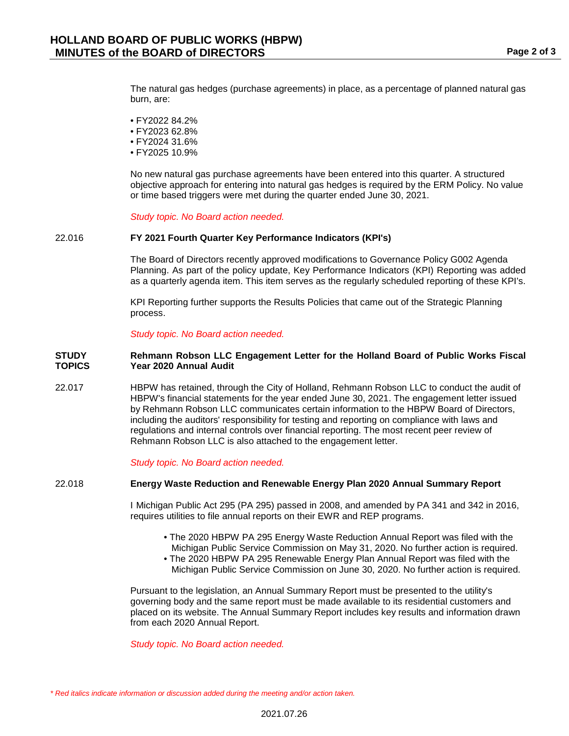The natural gas hedges (purchase agreements) in place, as a percentage of planned natural gas burn, are:

- FY2022 84.2%
- FY2023 62.8%
- FY2024 31.6%
- FY2025 10.9%

No new natural gas purchase agreements have been entered into this quarter. A structured objective approach for entering into natural gas hedges is required by the ERM Policy. No value or time based triggers were met during the quarter ended June 30, 2021.

#### *Study topic. No Board action needed.*

### 22.016 **FY 2021 Fourth Quarter Key Performance Indicators (KPI's)**

The Board of Directors recently approved modifications to Governance Policy G002 Agenda Planning. As part of the policy update, Key Performance Indicators (KPI) Reporting was added as a quarterly agenda item. This item serves as the regularly scheduled reporting of these KPI's.

KPI Reporting further supports the Results Policies that came out of the Strategic Planning process.

*Study topic. No Board action needed.*

#### **STUDY TOPICS Rehmann Robson LLC Engagement Letter for the Holland Board of Public Works Fiscal Year 2020 Annual Audit**

22.017 HBPW has retained, through the City of Holland, Rehmann Robson LLC to conduct the audit of HBPW's financial statements for the year ended June 30, 2021. The engagement letter issued by Rehmann Robson LLC communicates certain information to the HBPW Board of Directors, including the auditors' responsibility for testing and reporting on compliance with laws and regulations and internal controls over financial reporting. The most recent peer review of Rehmann Robson LLC is also attached to the engagement letter.

*Study topic. No Board action needed.*

## 22.018 **Energy Waste Reduction and Renewable Energy Plan 2020 Annual Summary Report**

I Michigan Public Act 295 (PA 295) passed in 2008, and amended by PA 341 and 342 in 2016, requires utilities to file annual reports on their EWR and REP programs.

- The 2020 HBPW PA 295 Energy Waste Reduction Annual Report was filed with the Michigan Public Service Commission on May 31, 2020. No further action is required.
- The 2020 HBPW PA 295 Renewable Energy Plan Annual Report was filed with the Michigan Public Service Commission on June 30, 2020. No further action is required.

Pursuant to the legislation, an Annual Summary Report must be presented to the utility's governing body and the same report must be made available to its residential customers and placed on its website. The Annual Summary Report includes key results and information drawn from each 2020 Annual Report.

*Study topic. No Board action needed.*